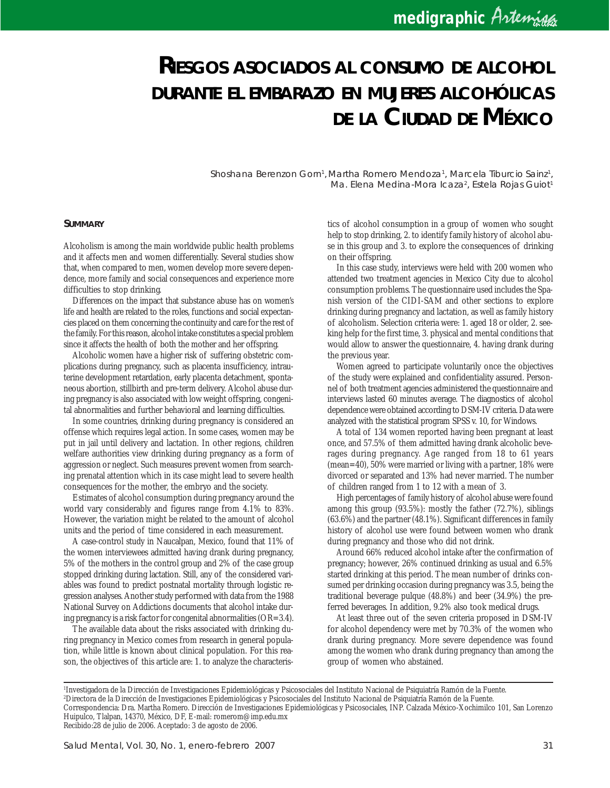# *RIESGOS ASOCIADOS AL CONSUMO DE ALCOHOL DURANTE EL EMBARAZO EN MUJERES ALCOHÓLICAS DE LA CIUDAD DE MÉXICO*

Shoshana Berenzon Gorn<sup>1</sup>, Martha Romero Mendoza<sup>1</sup>, Marcela Tiburcio Sainz<sup>1</sup>, Ma. Elena Medina-Mora Icaza<sup>2</sup>, Estela Rojas Guiot<sup>1</sup>

#### **SUMMARY**

Alcoholism is among the main worldwide public health problems and it affects men and women differentially. Several studies show that, when compared to men, women develop more severe dependence, more family and social consequences and experience more difficulties to stop drinking.

Differences on the impact that substance abuse has on women's life and health are related to the roles, functions and social expectancies placed on them concerning the continuity and care for the rest of the family. For this reason, alcohol intake constitutes a special problem since it affects the health of both the mother and her offspring.

Alcoholic women have a higher risk of suffering obstetric complications during pregnancy, such as placenta insufficiency, intrauterine development retardation, early placenta detachment, spontaneous abortion, stillbirth and pre-term delivery. Alcohol abuse during pregnancy is also associated with low weight offspring, congenital abnormalities and further behavioral and learning difficulties.

In some countries, drinking during pregnancy is considered an offense which requires legal action. In some cases, women may be put in jail until delivery and lactation. In other regions, children welfare authorities view drinking during pregnancy as a form of aggression or neglect. Such measures prevent women from searching prenatal attention which in its case might lead to severe health consequences for the mother, the embryo and the society.

Estimates of alcohol consumption during pregnancy around the world vary considerably and figures range from 4.1% to 83%. However, the variation might be related to the amount of alcohol units and the period of time considered in each measurement.

A case-control study in Naucalpan, Mexico, found that 11% of the women interviewees admitted having drank during pregnancy, 5% of the mothers in the control group and 2% of the case group stopped drinking during lactation. Still, any of the considered variables was found to predict postnatal mortality through logistic regression analyses. Another study performed with data from the 1988 National Survey on Addictions documents that alcohol intake during pregnancy is a risk factor for congenital abnormalities (OR=3.4).

The available data about the risks associated with drinking during pregnancy in Mexico comes from research in general population, while little is known about clinical population. For this reason, the objectives of this article are: 1. to analyze the characteristics of alcohol consumption in a group of women who sought help to stop drinking, 2. to identify family history of alcohol abuse in this group and 3. to explore the consequences of drinking on their offspring.

In this case study, interviews were held with 200 women who attended two treatment agencies in Mexico City due to alcohol consumption problems. The questionnaire used includes the Spanish version of the CIDI-SAM and other sections to explore drinking during pregnancy and lactation, as well as family history of alcoholism. Selection criteria were: 1. aged 18 or older, 2. seeking help for the first time, 3. physical and mental conditions that would allow to answer the questionnaire, 4. having drank during the previous year.

Women agreed to participate voluntarily once the objectives of the study were explained and confidentiality assured. Personnel of both treatment agencies administered the questionnaire and interviews lasted 60 minutes average. The diagnostics of alcohol dependence were obtained according to DSM-IV criteria. Data were analyzed with the statistical program SPSS v. 10, for Windows.

A total of 134 women reported having been pregnant at least once, and 57.5% of them admitted having drank alcoholic beverages during pregnancy. Age ranged from 18 to 61 years (mean=40), 50% were married or living with a partner, 18% were divorced or separated and 13% had never married. The number of children ranged from 1 to 12 with a mean of 3.

High percentages of family history of alcohol abuse were found among this group (93.5%): mostly the father (72.7%), siblings (63.6%) and the partner (48.1%). Significant differences in family history of alcohol use were found between women who drank during pregnancy and those who did not drink.

Around 66% reduced alcohol intake after the confirmation of pregnancy; however, 26% continued drinking as usual and 6.5% started drinking at this period. The mean number of drinks consumed per drinking occasion during pregnancy was 3.5, being the traditional beverage pulque (48.8%) and beer (34.9%) the preferred beverages. In addition, 9.2% also took medical drugs.

At least three out of the seven criteria proposed in DSM-IV for alcohol dependency were met by 70.3% of the women who drank during pregnancy. More severe dependence was found among the women who drank during pregnancy than among the group of women who abstained.

1 Investigadora de la Dirección de Investigaciones Epidemiológicas y Psicosociales del Instituto Nacional de Psiquiatría Ramón de la Fuente. 2 Directora de la Dirección de Investigaciones Epidemiológicas y Psicosociales del Instituto Nacional de Psiquiatría Ramón de la Fuente. Correspondencia: Dra. Martha Romero. Dirección de Investigaciones Epidemiológicas y Psicosociales, INP. Calzada México-Xochimilco 101, San Lorenzo Huipulco, Tlalpan, 14370, México, DF, E-mail: romerom@imp.edu.mx Recibido:28 de julio de 2006. Aceptado: 3 de agosto de 2006.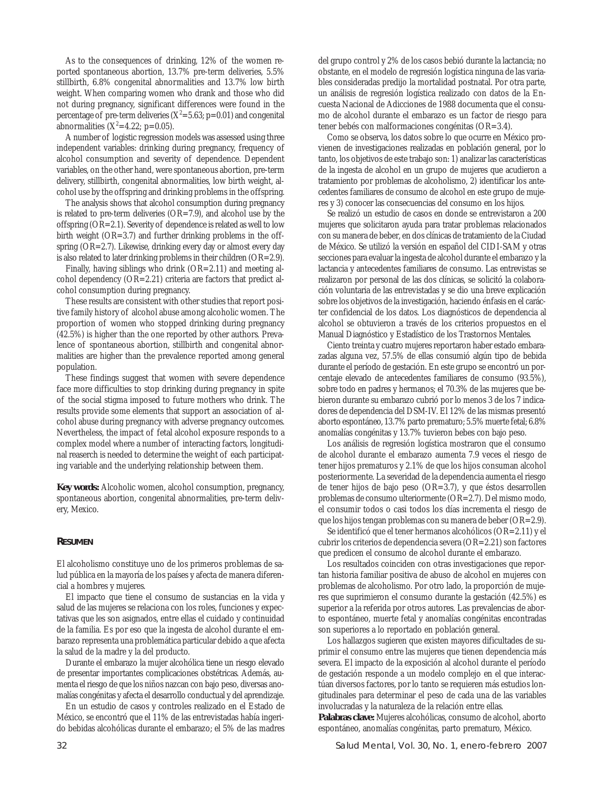As to the consequences of drinking, 12% of the women reported spontaneous abortion, 13.7% pre-term deliveries, 5.5% stillbirth, 6.8% congenital abnormalities and 13.7% low birth weight. When comparing women who drank and those who did not during pregnancy, significant differences were found in the percentage of pre-term deliveries  $(X^2=5.63; p=0.01)$  and congenital abnormalities  $(X^2=4.22; p=0.05)$ .

A number of logistic regression models was assessed using three independent variables: drinking during pregnancy, frequency of alcohol consumption and severity of dependence. Dependent variables, on the other hand, were spontaneous abortion, pre-term delivery, stillbirth, congenital abnormalities, low birth weight, alcohol use by the offspring and drinking problems in the offspring.

The analysis shows that alcohol consumption during pregnancy is related to pre-term deliveries (OR=7.9), and alcohol use by the offspring (OR=2.1). Severity of dependence is related as well to low birth weight (OR=3.7) and further drinking problems in the offspring (OR=2.7). Likewise, drinking every day or almost every day is also related to later drinking problems in their children (OR=2.9).

Finally, having siblings who drink (OR=2.11) and meeting alcohol dependency (OR=2.21) criteria are factors that predict alcohol consumption during pregnancy.

These results are consistent with other studies that report positive family history of alcohol abuse among alcoholic women. The proportion of women who stopped drinking during pregnancy (42.5%) is higher than the one reported by other authors. Prevalence of spontaneous abortion, stillbirth and congenital abnormalities are higher than the prevalence reported among general population.

These findings suggest that women with severe dependence face more difficulties to stop drinking during pregnancy in spite of the social stigma imposed to future mothers who drink. The results provide some elements that support an association of alcohol abuse during pregnancy with adverse pregnancy outcomes. Nevertheless, the impact of fetal alcohol exposure responds to a complex model where a number of interacting factors, longitudinal reaserch is needed to determine the weight of each participating variable and the underlying relationship between them.

**Key words:** Alcoholic women, alcohol consumption, pregnancy, spontaneous abortion, congenital abnormalities, pre-term delivery, Mexico.

#### **RESUMEN**

El alcoholismo constituye uno de los primeros problemas de salud pública en la mayoría de los países y afecta de manera diferencial a hombres y mujeres.

El impacto que tiene el consumo de sustancias en la vida y salud de las mujeres se relaciona con los roles, funciones y expectativas que les son asignados, entre ellas el cuidado y continuidad de la familia. Es por eso que la ingesta de alcohol durante el embarazo representa una problemática particular debido a que afecta la salud de la madre y la del producto.

Durante el embarazo la mujer alcohólica tiene un riesgo elevado de presentar importantes complicaciones obstétricas. Además, aumenta el riesgo de que los niños nazcan con bajo peso, diversas anomalías congénitas y afecta el desarrollo conductual y del aprendizaje.

En un estudio de casos y controles realizado en el Estado de México, se encontró que el 11% de las entrevistadas había ingerido bebidas alcohólicas durante el embarazo; el 5% de las madres del grupo control y 2% de los casos bebió durante la lactancia; no obstante, en el modelo de regresión logística ninguna de las variables consideradas predijo la mortalidad postnatal. Por otra parte, un análisis de regresión logística realizado con datos de la Encuesta Nacional de Adicciones de 1988 documenta que el consumo de alcohol durante el embarazo es un factor de riesgo para tener bebés con malformaciones congénitas (OR=3.4).

Como se observa, los datos sobre lo que ocurre en México provienen de investigaciones realizadas en población general, por lo tanto, los objetivos de este trabajo son: 1) analizar las características de la ingesta de alcohol en un grupo de mujeres que acudieron a tratamiento por problemas de alcoholismo, 2) identificar los antecedentes familiares de consumo de alcohol en este grupo de mujeres y 3) conocer las consecuencias del consumo en los hijos.

Se realizó un estudio de casos en donde se entrevistaron a 200 mujeres que solicitaron ayuda para tratar problemas relacionados con su manera de beber, en dos clínicas de tratamiento de la Ciudad de México. Se utilizó la versión en español del CIDI-SAM y otras secciones para evaluar la ingesta de alcohol durante el embarazo y la lactancia y antecedentes familiares de consumo. Las entrevistas se realizaron por personal de las dos clínicas, se solicitó la colaboración voluntaria de las entrevistadas y se dio una breve explicación sobre los objetivos de la investigación, haciendo énfasis en el carácter confidencial de los datos. Los diagnósticos de dependencia al alcohol se obtuvieron a través de los criterios propuestos en el Manual Diagnóstico y Estadístico de los Trastornos Mentales.

Ciento treinta y cuatro mujeres reportaron haber estado embarazadas alguna vez, 57.5% de ellas consumió algún tipo de bebida durante el período de gestación. En este grupo se encontró un porcentaje elevado de antecedentes familiares de consumo (93.5%), sobre todo en padres y hermanos; el 70.3% de las mujeres que bebieron durante su embarazo cubrió por lo menos 3 de los 7 indicadores de dependencia del DSM-IV. El 12% de las mismas presentó aborto espontáneo, 13.7% parto prematuro; 5.5% muerte fetal; 6.8% anomalías congénitas y 13.7% tuvieron bebes con bajo peso.

Los análisis de regresión logística mostraron que el consumo de alcohol durante el embarazo aumenta 7.9 veces el riesgo de tener hijos prematuros y 2.1% de que los hijos consuman alcohol posteriormente. La severidad de la dependencia aumenta el riesgo de tener hijos de bajo peso (OR=3.7), y que éstos desarrollen problemas de consumo ulteriormente (OR=2.7). Del mismo modo, el consumir todos o casi todos los días incrementa el riesgo de que los hijos tengan problemas con su manera de beber (OR=2.9).

Se identificó que el tener hermanos alcohólicos (OR=2.11) y el cubrir los criterios de dependencia severa (OR=2.21) son factores que predicen el consumo de alcohol durante el embarazo.

Los resultados coinciden con otras investigaciones que reportan historia familiar positiva de abuso de alcohol en mujeres con problemas de alcoholismo. Por otro lado, la proporción de mujeres que suprimieron el consumo durante la gestación (42.5%) es superior a la referida por otros autores. Las prevalencias de aborto espontáneo, muerte fetal y anomalías congénitas encontradas son superiores a lo reportado en población general.

Los hallazgos sugieren que existen mayores dificultades de suprimir el consumo entre las mujeres que tienen dependencia más severa. El impacto de la exposición al alcohol durante el período de gestación responde a un modelo complejo en el que interactúan diversos factores, por lo tanto se requieren más estudios longitudinales para determinar el peso de cada una de las variables involucradas y la naturaleza de la relación entre ellas.

**Palabras clave:** Mujeres alcohólicas, consumo de alcohol, aborto espontáneo, anomalías congénitas, parto prematuro, México.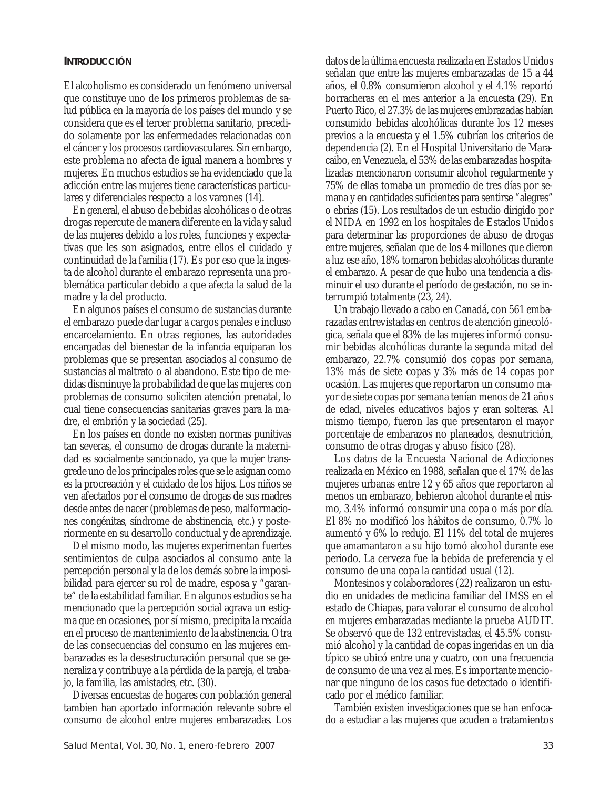# **INTRODUCCIÓN**

El alcoholismo es considerado un fenómeno universal que constituye uno de los primeros problemas de salud pública en la mayoría de los países del mundo y se considera que es el tercer problema sanitario, precedido solamente por las enfermedades relacionadas con el cáncer y los procesos cardiovasculares. Sin embargo, este problema no afecta de igual manera a hombres y mujeres. En muchos estudios se ha evidenciado que la adicción entre las mujeres tiene características particulares y diferenciales respecto a los varones (14).

En general, el abuso de bebidas alcohólicas o de otras drogas repercute de manera diferente en la vida y salud de las mujeres debido a los roles, funciones y expectativas que les son asignados, entre ellos el cuidado y continuidad de la familia (17). Es por eso que la ingesta de alcohol durante el embarazo representa una problemática particular debido a que afecta la salud de la madre y la del producto.

En algunos países el consumo de sustancias durante el embarazo puede dar lugar a cargos penales e incluso encarcelamiento. En otras regiones, las autoridades encargadas del bienestar de la infancia equiparan los problemas que se presentan asociados al consumo de sustancias al maltrato o al abandono. Este tipo de medidas disminuye la probabilidad de que las mujeres con problemas de consumo soliciten atención prenatal, lo cual tiene consecuencias sanitarias graves para la madre, el embrión y la sociedad (25).

En los países en donde no existen normas punitivas tan severas, el consumo de drogas durante la maternidad es socialmente sancionado, ya que la mujer transgrede uno de los principales roles que se le asignan como es la procreación y el cuidado de los hijos. Los niños se ven afectados por el consumo de drogas de sus madres desde antes de nacer (problemas de peso, malformaciones congénitas, síndrome de abstinencia, etc.) y posteriormente en su desarrollo conductual y de aprendizaje.

Del mismo modo, las mujeres experimentan fuertes sentimientos de culpa asociados al consumo ante la percepción personal y la de los demás sobre la imposibilidad para ejercer su rol de madre, esposa y "garante" de la estabilidad familiar. En algunos estudios se ha mencionado que la percepción social agrava un estigma que en ocasiones, por sí mismo, precipita la recaída en el proceso de mantenimiento de la abstinencia. Otra de las consecuencias del consumo en las mujeres embarazadas es la desestructuración personal que se generaliza y contribuye a la pérdida de la pareja, el trabajo, la familia, las amistades, etc. (30).

Diversas encuestas de hogares con población general tambien han aportado información relevante sobre el consumo de alcohol entre mujeres embarazadas. Los datos de la última encuesta realizada en Estados Unidos señalan que entre las mujeres embarazadas de 15 a 44 años, el 0.8% consumieron alcohol y el 4.1% reportó borracheras en el mes anterior a la encuesta (29). En Puerto Rico, el 27.3% de las mujeres embrazadas habían consumido bebidas alcohólicas durante los 12 meses previos a la encuesta y el 1.5% cubrían los criterios de dependencia (2). En el Hospital Universitario de Maracaibo, en Venezuela, el 53% de las embarazadas hospitalizadas mencionaron consumir alcohol regularmente y 75% de ellas tomaba un promedio de tres días por semana y en cantidades suficientes para sentirse "alegres" o ebrias (15). Los resultados de un estudio dirigido por el NIDA en 1992 en los hospitales de Estados Unidos para determinar las proporciones de abuso de drogas entre mujeres, señalan que de los 4 millones que dieron a luz ese año, 18% tomaron bebidas alcohólicas durante el embarazo. A pesar de que hubo una tendencia a disminuir el uso durante el período de gestación, no se interrumpió totalmente (23, 24).

Un trabajo llevado a cabo en Canadá, con 561 embarazadas entrevistadas en centros de atención ginecológica, señala que el 83% de las mujeres informó consumir bebidas alcohólicas durante la segunda mitad del embarazo, 22.7% consumió dos copas por semana, 13% más de siete copas y 3% más de 14 copas por ocasión. Las mujeres que reportaron un consumo mayor de siete copas por semana tenían menos de 21 años de edad, niveles educativos bajos y eran solteras. Al mismo tiempo, fueron las que presentaron el mayor porcentaje de embarazos no planeados, desnutrición, consumo de otras drogas y abuso físico (28).

Los datos de la Encuesta Nacional de Adicciones realizada en México en 1988, señalan que el 17% de las mujeres urbanas entre 12 y 65 años que reportaron al menos un embarazo, bebieron alcohol durante el mismo, 3.4% informó consumir una copa o más por día. El 8% no modificó los hábitos de consumo, 0.7% lo aumentó y 6% lo redujo. El 11% del total de mujeres que amamantaron a su hijo tomó alcohol durante ese periodo. La cerveza fue la bebida de preferencia y el consumo de una copa la cantidad usual (12).

Montesinos y colaboradores (22) realizaron un estudio en unidades de medicina familiar del IMSS en el estado de Chiapas, para valorar el consumo de alcohol en mujeres embarazadas mediante la prueba AUDIT. Se observó que de 132 entrevistadas, el 45.5% consumió alcohol y la cantidad de copas ingeridas en un día típico se ubicó entre una y cuatro, con una frecuencia de consumo de una vez al mes. Es importante mencionar que ninguno de los casos fue detectado o identificado por el médico familiar.

También existen investigaciones que se han enfocado a estudiar a las mujeres que acuden a tratamientos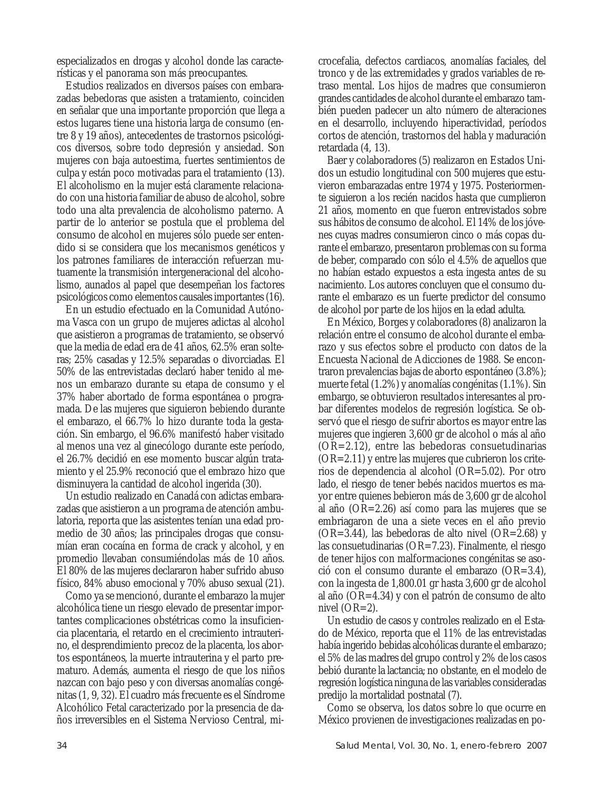especializados en drogas y alcohol donde las características y el panorama son más preocupantes.

Estudios realizados en diversos países con embarazadas bebedoras que asisten a tratamiento, coinciden en señalar que una importante proporción que llega a estos lugares tiene una historia larga de consumo (entre 8 y 19 años), antecedentes de trastornos psicológicos diversos, sobre todo depresión y ansiedad. Son mujeres con baja autoestima, fuertes sentimientos de culpa y están poco motivadas para el tratamiento (13). El alcoholismo en la mujer está claramente relacionado con una historia familiar de abuso de alcohol, sobre todo una alta prevalencia de alcoholismo paterno. A partir de lo anterior se postula que el problema del consumo de alcohol en mujeres sólo puede ser entendido si se considera que los mecanismos genéticos y los patrones familiares de interacción refuerzan mutuamente la transmisión intergeneracional del alcoholismo, aunados al papel que desempeñan los factores psicológicos como elementos causales importantes (16).

En un estudio efectuado en la Comunidad Autónoma Vasca con un grupo de mujeres adictas al alcohol que asistieron a programas de tratamiento, se observó que la media de edad era de 41 años, 62.5% eran solteras; 25% casadas y 12.5% separadas o divorciadas. El 50% de las entrevistadas declaró haber tenido al menos un embarazo durante su etapa de consumo y el 37% haber abortado de forma espontánea o programada. De las mujeres que siguieron bebiendo durante el embarazo, el 66.7% lo hizo durante toda la gestación. Sin embargo, el 96.6% manifestó haber visitado al menos una vez al ginecólogo durante este período, el 26.7% decidió en ese momento buscar algún tratamiento y el 25.9% reconoció que el embrazo hizo que disminuyera la cantidad de alcohol ingerida (30).

Un estudio realizado en Canadá con adictas embarazadas que asistieron a un programa de atención ambulatoria, reporta que las asistentes tenían una edad promedio de 30 años; las principales drogas que consumían eran cocaína en forma de crack y alcohol, y en promedio llevaban consumiéndolas más de 10 años. El 80% de las mujeres declararon haber sufrido abuso físico, 84% abuso emocional y 70% abuso sexual (21).

Como ya se mencionó, durante el embarazo la mujer alcohólica tiene un riesgo elevado de presentar importantes complicaciones obstétricas como la insuficiencia placentaria, el retardo en el crecimiento intrauterino, el desprendimiento precoz de la placenta, los abortos espontáneos, la muerte intrauterina y el parto prematuro. Además, aumenta el riesgo de que los niños nazcan con bajo peso y con diversas anomalías congénitas (1, 9, 32). El cuadro más frecuente es el Síndrome Alcohólico Fetal caracterizado por la presencia de daños irreversibles en el Sistema Nervioso Central, microcefalia, defectos cardiacos, anomalías faciales, del tronco y de las extremidades y grados variables de retraso mental. Los hijos de madres que consumieron grandes cantidades de alcohol durante el embarazo también pueden padecer un alto número de alteraciones en el desarrollo, incluyendo hiperactividad, períodos cortos de atención, trastornos del habla y maduración retardada (4, 13).

Baer y colaboradores (5) realizaron en Estados Unidos un estudio longitudinal con 500 mujeres que estuvieron embarazadas entre 1974 y 1975. Posteriormente siguieron a los recién nacidos hasta que cumplieron 21 años, momento en que fueron entrevistados sobre sus hábitos de consumo de alcohol. El 14% de los jóvenes cuyas madres consumieron cinco o más copas durante el embarazo, presentaron problemas con su forma de beber, comparado con sólo el 4.5% de aquellos que no habían estado expuestos a esta ingesta antes de su nacimiento. Los autores concluyen que el consumo durante el embarazo es un fuerte predictor del consumo de alcohol por parte de los hijos en la edad adulta.

En México, Borges y colaboradores (8) analizaron la relación entre el consumo de alcohol durante el embarazo y sus efectos sobre el producto con datos de la Encuesta Nacional de Adicciones de 1988. Se encontraron prevalencias bajas de aborto espontáneo (3.8%); muerte fetal (1.2%) y anomalías congénitas (1.1%). Sin embargo, se obtuvieron resultados interesantes al probar diferentes modelos de regresión logística. Se observó que el riesgo de sufrir abortos es mayor entre las mujeres que ingieren 3,600 gr de alcohol o más al año (OR=2.12), entre las bebedoras consuetudinarias (OR=2.11) y entre las mujeres que cubrieron los criterios de dependencia al alcohol (OR=5.02). Por otro lado, el riesgo de tener bebés nacidos muertos es mayor entre quienes bebieron más de 3,600 gr de alcohol al año (OR=2.26) así como para las mujeres que se embriagaron de una a siete veces en el año previo  $(OR=3.44)$ , las bebedoras de alto nivel  $(OR=2.68)$  y las consuetudinarias (OR=7.23). Finalmente, el riesgo de tener hijos con malformaciones congénitas se asoció con el consumo durante el embarazo (OR=3.4), con la ingesta de 1,800.01 gr hasta 3,600 gr de alcohol al año (OR=4.34) y con el patrón de consumo de alto nivel  $(OR=2)$ .

Un estudio de casos y controles realizado en el Estado de México, reporta que el 11% de las entrevistadas había ingerido bebidas alcohólicas durante el embarazo; el 5% de las madres del grupo control y 2% de los casos bebió durante la lactancia; no obstante, en el modelo de regresión logística ninguna de las variables consideradas predijo la mortalidad postnatal (7).

Como se observa, los datos sobre lo que ocurre en México provienen de investigaciones realizadas en po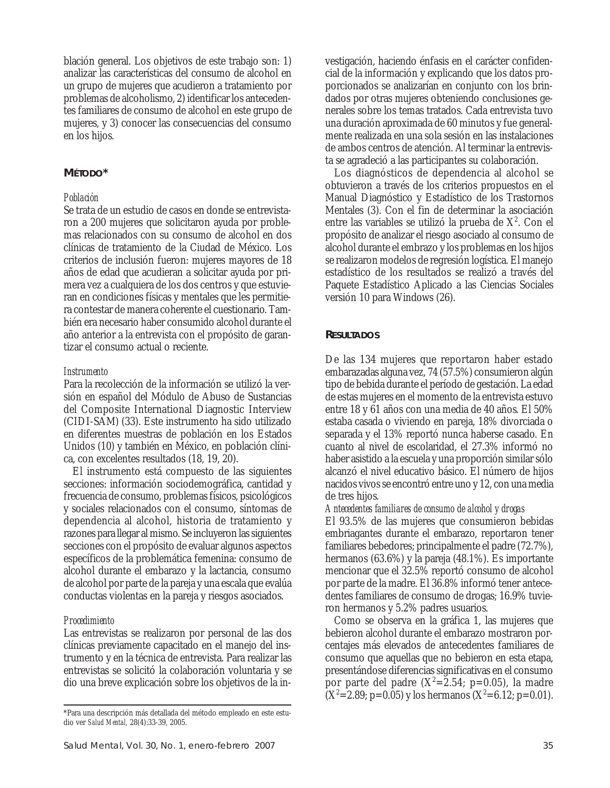blación general. Los objetivos de este trabajo son: 1) analizar las características del consumo de alcohol en un grupo de mujeres que acudieron a tratamiento por problemas de alcoholismo, 2) identificar los antecedentes familiares de consumo de alcohol en este grupo de mujeres, y 3) conocer las consecuencias del consumo en los hijos.

# **MÉTODO\***

#### *Población*

Se trata de un estudio de casos en donde se entrevistaron a 200 mujeres que solicitaron ayuda por problemas relacionados con su consumo de alcohol en dos clínicas de tratamiento de la Ciudad de México. Los criterios de inclusión fueron: mujeres mayores de 18 años de edad que acudieran a solicitar ayuda por primera vez a cualquiera de los dos centros y que estuvieran en condiciones físicas y mentales que les permitiera contestar de manera coherente el cuestionario. También era necesario haber consumido alcohol durante el año anterior a la entrevista con el propósito de garantizar el consumo actual o reciente.

#### *Instrumento*

Para la recolección de la información se utilizó la versión en español del Módulo de Abuso de Sustancias del Composite International Diagnostic Interview (CIDI-SAM) (33). Este instrumento ha sido utilizado en diferentes muestras de población en los Estados Unidos (10) y también en México, en población clínica, con excelentes resultados (18, 19, 20).

El instrumento está compuesto de las siguientes secciones: información sociodemográfica, cantidad y frecuencia de consumo, problemas físicos, psicológicos y sociales relacionados con el consumo, síntomas de dependencia al alcohol, historia de tratamiento y razones para llegar al mismo. Se incluyeron las siguientes secciones con el propósito de evaluar algunos aspectos específicos de la problemática femenina: consumo de alcohol durante el embarazo y la lactancia, consumo de alcohol por parte de la pareja y una escala que evalúa conductas violentas en la pareja y riesgos asociados.

#### *Procedimiento*

Las entrevistas se realizaron por personal de las dos clínicas previamente capacitado en el manejo del instrumento y en la técnica de entrevista. Para realizar las entrevistas se solicitó la colaboración voluntaria y se dio una breve explicación sobre los objetivos de la investigación, haciendo énfasis en el carácter confidencial de la información y explicando que los datos proporcionados se analizarían en conjunto con los brindados por otras mujeres obteniendo conclusiones generales sobre los temas tratados. Cada entrevista tuvo una duración aproximada de 60 minutos y fue generalmente realizada en una sola sesión en las instalaciones de ambos centros de atención. Al terminar la entrevista se agradeció a las participantes su colaboración.

Los diagnósticos de dependencia al alcohol se obtuvieron a través de los criterios propuestos en el Manual Diagnóstico y Estadístico de los Trastornos Mentales (3). Con el fin de determinar la asociación entre las variables se utilizó la prueba de  $X^2$ . Con el propósito de analizar el riesgo asociado al consumo de alcohol durante el embrazo y los problemas en los hijos se realizaron modelos de regresión logística. El manejo estadístico de los resultados se realizó a través del Paquete Estadístico Aplicado a las Ciencias Sociales versión 10 para Windows (26).

#### **RESULTADOS**

De las 134 mujeres que reportaron haber estado embarazadas alguna vez, 74 (57.5%) consumieron algún tipo de bebida durante el período de gestación. La edad de estas mujeres en el momento de la entrevista estuvo entre 18 y 61 años con una media de 40 años. El 50% estaba casada o viviendo en pareja, 18% divorciada o separada y el 13% reportó nunca haberse casado. En cuanto al nivel de escolaridad, el 27.3% informó no haber asistido a la escuela y una proporción similar sólo alcanzó el nivel educativo básico. El número de hijos nacidos vivos se encontró entre uno y 12, con una media de tres hijos.

#### *Antecedentes familiares de consumo de alcohol y drogas*

El 93.5% de las mujeres que consumieron bebidas embriagantes durante el embarazo, reportaron tener familiares bebedores; principalmente el padre (72.7%), hermanos (63.6%) y la pareja (48.1%). Es importante mencionar que el 32.5% reportó consumo de alcohol por parte de la madre. El 36.8% informó tener antecedentes familiares de consumo de drogas; 16.9% tuvieron hermanos y 5.2% padres usuarios.

Como se observa en la gráfica 1, las mujeres que bebieron alcohol durante el embarazo mostraron porcentajes más elevados de antecedentes familiares de consumo que aquellas que no bebieron en esta etapa, presentándose diferencias significativas en el consumo por parte del padre  $(X^2=2.54; p=0.05)$ , la madre  $(X^2=2.89; p=0.05)$  y los hermanos  $(X^2=6.12; p=0.01)$ .

<sup>\*</sup>Para una descripción más detallada del método empleado en este estudio ver *Salud Mental,* 28(4):33-39, 2005.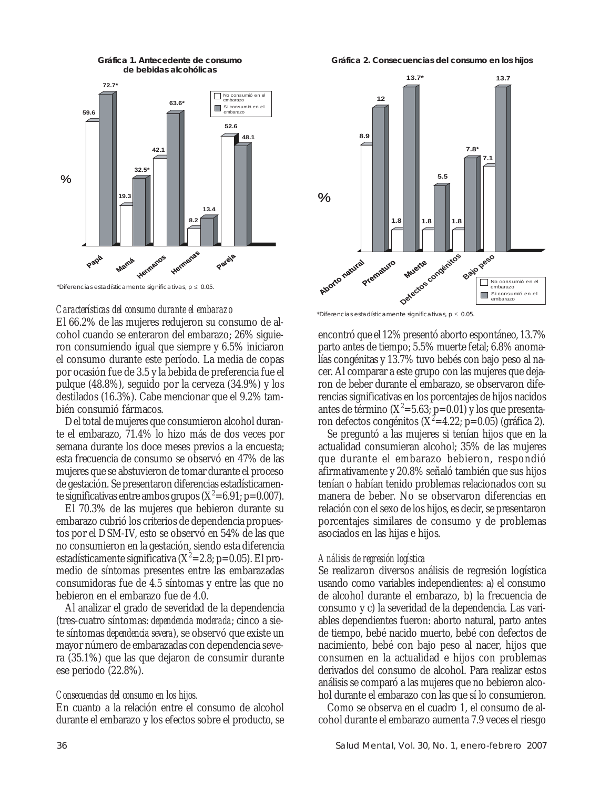

**Gráfica 1. Antecedente de consumo de bebidas alcohólicas**

\*Diferencias estadísticamente significativas, p ≤ 0.05.

#### *Características del consumo durante el embarazo*

El 66.2% de las mujeres redujeron su consumo de alcohol cuando se enteraron del embarazo; 26% siguieron consumiendo igual que siempre y 6.5% iniciaron el consumo durante este período. La media de copas por ocasión fue de 3.5 y la bebida de preferencia fue el pulque (48.8%), seguido por la cerveza (34.9%) y los destilados (16.3%). Cabe mencionar que el 9.2% también consumió fármacos.

Del total de mujeres que consumieron alcohol durante el embarazo, 71.4% lo hizo más de dos veces por semana durante los doce meses previos a la encuesta; esta frecuencia de consumo se observó en 47% de las mujeres que se abstuvieron de tomar durante el proceso de gestación. Se presentaron diferencias estadísticamente significativas entre ambos grupos ( $X^2$ =6.91; p=0.007).

El 70.3% de las mujeres que bebieron durante su embarazo cubrió los criterios de dependencia propuestos por el DSM-IV, esto se observó en 54% de las que no consumieron en la gestación, siendo esta diferencia estadísticamente significativa ( $X^2$ =2.8; p=0.05). El promedio de síntomas presentes entre las embarazadas consumidoras fue de 4.5 síntomas y entre las que no bebieron en el embarazo fue de 4.0.

Al analizar el grado de severidad de la dependencia (tres-cuatro síntomas: *dependencia moderada*; cinco a siete síntomas *dependencia severa*), se observó que existe un mayor número de embarazadas con dependencia severa (35.1%) que las que dejaron de consumir durante ese periodo (22.8%).

#### *Consecuencias del consumo en los hijos.*

En cuanto a la relación entre el consumo de alcohol durante el embarazo y los efectos sobre el producto, se



\*Diferencias estadísticamente significativas, p ≤ 0.05.

encontró que el 12% presentó aborto espontáneo, 13.7% parto antes de tiempo; 5.5% muerte fetal; 6.8% anomalías congénitas y 13.7% tuvo bebés con bajo peso al nacer. Al comparar a este grupo con las mujeres que dejaron de beber durante el embarazo, se observaron diferencias significativas en los porcentajes de hijos nacidos antes de término ( $X^2 = 5.63$ ; p=0.01) y los que presentaron defectos congénitos (X<sup>2</sup>=4.22; p=0.05) (gráfica 2).

Se preguntó a las mujeres si tenían hijos que en la actualidad consumieran alcohol; 35% de las mujeres que durante el embarazo bebieron, respondió afirmativamente y 20.8% señaló también que sus hijos tenían o habían tenido problemas relacionados con su manera de beber. No se observaron diferencias en relación con el sexo de los hijos, es decir, se presentaron porcentajes similares de consumo y de problemas asociados en las hijas e hijos.

# *Análisis de regresión logística*

Se realizaron diversos análisis de regresión logística usando como variables independientes: a) el consumo de alcohol durante el embarazo, b) la frecuencia de consumo y c) la severidad de la dependencia. Las variables dependientes fueron: aborto natural, parto antes de tiempo, bebé nacido muerto, bebé con defectos de nacimiento, bebé con bajo peso al nacer, hijos que consumen en la actualidad e hijos con problemas derivados del consumo de alcohol. Para realizar estos análisis se comparó a las mujeres que no bebieron alcohol durante el embarazo con las que sí lo consumieron.

Como se observa en el cuadro 1, el consumo de alcohol durante el embarazo aumenta 7.9 veces el riesgo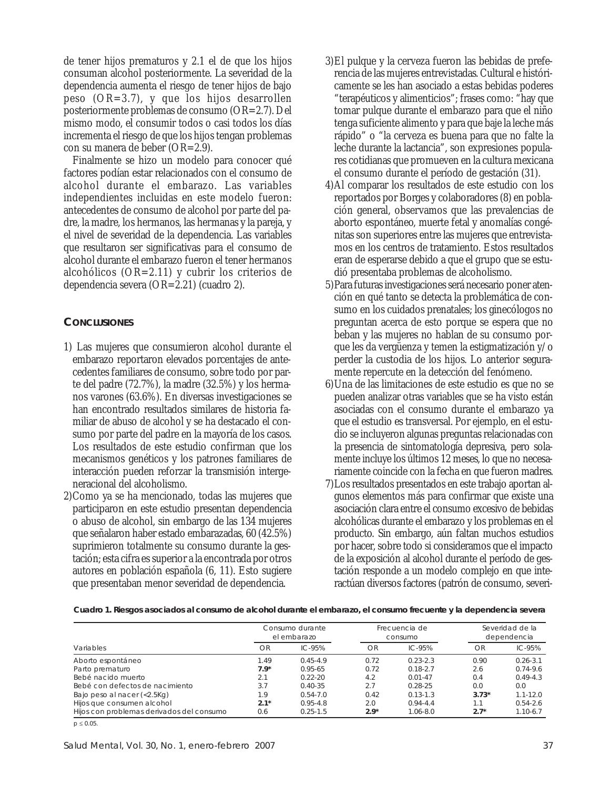de tener hijos prematuros y 2.1 el de que los hijos consuman alcohol posteriormente. La severidad de la dependencia aumenta el riesgo de tener hijos de bajo peso (OR=3.7), y que los hijos desarrollen posteriormente problemas de consumo (OR=2.7). Del mismo modo, el consumir todos o casi todos los días incrementa el riesgo de que los hijos tengan problemas con su manera de beber (OR=2.9).

Finalmente se hizo un modelo para conocer qué factores podían estar relacionados con el consumo de alcohol durante el embarazo. Las variables independientes incluidas en este modelo fueron: antecedentes de consumo de alcohol por parte del padre, la madre, los hermanos, las hermanas y la pareja, y el nivel de severidad de la dependencia. Las variables que resultaron ser significativas para el consumo de alcohol durante el embarazo fueron el tener hermanos alcohólicos (OR=2.11) y cubrir los criterios de dependencia severa (OR=2.21) (cuadro 2).

# **CONCLUSIONES**

- 1) Las mujeres que consumieron alcohol durante el embarazo reportaron elevados porcentajes de antecedentes familiares de consumo, sobre todo por parte del padre (72.7%), la madre (32.5%) y los hermanos varones (63.6%). En diversas investigaciones se han encontrado resultados similares de historia familiar de abuso de alcohol y se ha destacado el consumo por parte del padre en la mayoría de los casos. Los resultados de este estudio confirman que los mecanismos genéticos y los patrones familiares de interacción pueden reforzar la transmisión intergeneracional del alcoholismo.
- 2)Como ya se ha mencionado, todas las mujeres que participaron en este estudio presentan dependencia o abuso de alcohol, sin embargo de las 134 mujeres que señalaron haber estado embarazadas, 60 (42.5%) suprimieron totalmente su consumo durante la gestación; esta cifra es superior a la encontrada por otros autores en población española (6, 11). Esto sugiere que presentaban menor severidad de dependencia.
- 3)El pulque y la cerveza fueron las bebidas de preferencia de las mujeres entrevistadas. Cultural e históricamente se les han asociado a estas bebidas poderes "terapéuticos y alimenticios"; frases como: "hay que tomar pulque durante el embarazo para que el niño tenga suficiente alimento y para que baje la leche más rápido" o "la cerveza es buena para que no falte la leche durante la lactancia", son expresiones populares cotidianas que promueven en la cultura mexicana el consumo durante el período de gestación (31).
- 4)Al comparar los resultados de este estudio con los reportados por Borges y colaboradores (8) en población general, observamos que las prevalencias de aborto espontáneo, muerte fetal y anomalías congénitas son superiores entre las mujeres que entrevistamos en los centros de tratamiento. Estos resultados eran de esperarse debido a que el grupo que se estudió presentaba problemas de alcoholismo.
- 5)Para futuras investigaciones será necesario poner atención en qué tanto se detecta la problemática de consumo en los cuidados prenatales; los ginecólogos no preguntan acerca de esto porque se espera que no beban y las mujeres no hablan de su consumo porque les da vergüenza y temen la estigmatización y/o perder la custodia de los hijos. Lo anterior seguramente repercute en la detección del fenómeno.
- 6)Una de las limitaciones de este estudio es que no se pueden analizar otras variables que se ha visto están asociadas con el consumo durante el embarazo ya que el estudio es transversal. Por ejemplo, en el estudio se incluyeron algunas preguntas relacionadas con la presencia de sintomatología depresiva, pero solamente incluye los últimos 12 meses, lo que no necesariamente coincide con la fecha en que fueron madres.
- 7)Los resultados presentados en este trabajo aportan algunos elementos más para confirmar que existe una asociación clara entre el consumo excesivo de bebidas alcohólicas durante el embarazo y los problemas en el producto. Sin embargo, aún faltan muchos estudios por hacer, sobre todo si consideramos que el impacto de la exposición al alcohol durante el período de gestación responde a un modelo complejo en que interactúan diversos factores (patrón de consumo, severi-

**Cuadro 1. Riesgos asociados al consumo de alcohol durante el embarazo, el consumo frecuente y la dependencia severa**

| Variables                                 | Consumo durante<br>el embarazo |              | Frecuencia de<br>consumo |              | Severidad de la<br>dependencia |              |
|-------------------------------------------|--------------------------------|--------------|--------------------------|--------------|--------------------------------|--------------|
|                                           | OR                             | $IC - 95%$   | OR                       | $IC - 95%$   | OR                             | $IC - 95%$   |
| Aborto espontáneo                         | 1.49                           | $0.45 - 4.9$ | 0.72                     | $0.23 - 2.3$ | 0.90                           | $0.26 - 3.1$ |
| Parto prematuro                           | $7.9*$                         | $0.95 - 65$  | 0.72                     | $0.18 - 2.7$ | 2.6                            | $0.74 - 9.6$ |
| Bebé nacido muerto                        | 2.1                            | $0.22 - 20$  | 4.2                      | $0.01 - 47$  | 0.4                            | $0.49 - 4.3$ |
| Bebé con defectos de nacimiento           | 3.7                            | $0.40 - 35$  | 2.7                      | $0.28 - 25$  | 0.0                            | 0.0          |
| Bajo peso al nacer (<2.5Kg)               | 1.9                            | $0.54 - 7.0$ | 0.42                     | $0.13 - 1.3$ | $3.73*$                        | $1.1 - 12.0$ |
| Hijos que consumen alcohol                | $2.1*$                         | $0.95 - 4.8$ | 2.0                      | $0.94 - 4.4$ | 1.1                            | $0.54 - 2.6$ |
| Hijos con problemas derivados del consumo | 0.6                            | $0.25 - 1.5$ | $2.9*$                   | $1.06 - 8.0$ | $2.7*$                         | $1.10 - 6.7$ |

 $p \le 0.05$ .